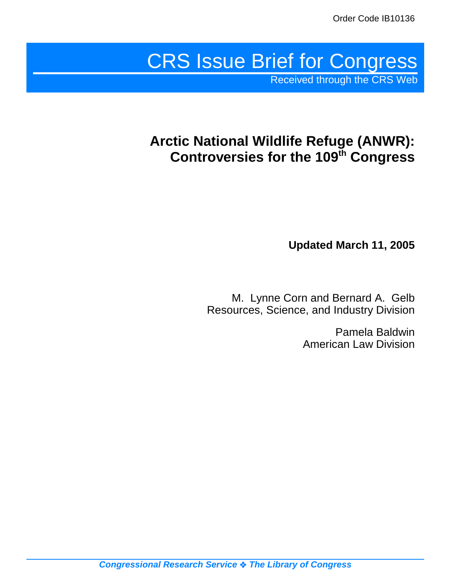# CRS Issue Brief for Congress

Received through the CRS Web

# **Arctic National Wildlife Refuge (ANWR): Controversies for the 109th Congress**

**Updated March 11, 2005**

M. Lynne Corn and Bernard A. Gelb Resources, Science, and Industry Division

> Pamela Baldwin American Law Division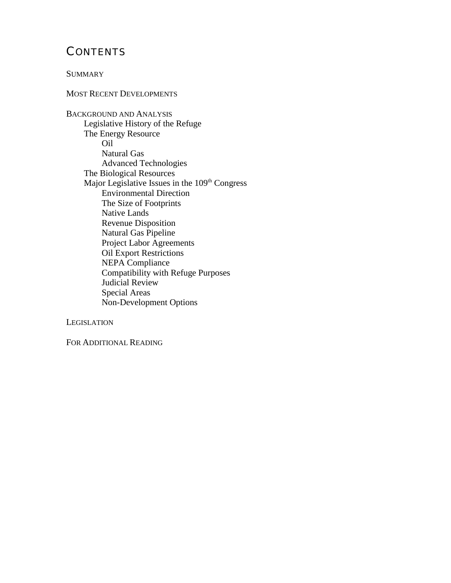# **CONTENTS**

#### **SUMMARY**

MOST RECENT DEVELOPMENTS

BACKGROUND AND ANALYSIS Legislative History of the Refuge The Energy Resource Oil Natural Gas Advanced Technologies The Biological Resources Major Legislative Issues in the 109<sup>th</sup> Congress Environmental Direction The Size of Footprints Native Lands Revenue Disposition Natural Gas Pipeline Project Labor Agreements Oil Export Restrictions NEPA Compliance Compatibility with Refuge Purposes Judicial Review Special Areas Non-Development Options

LEGISLATION

FOR ADDITIONAL READING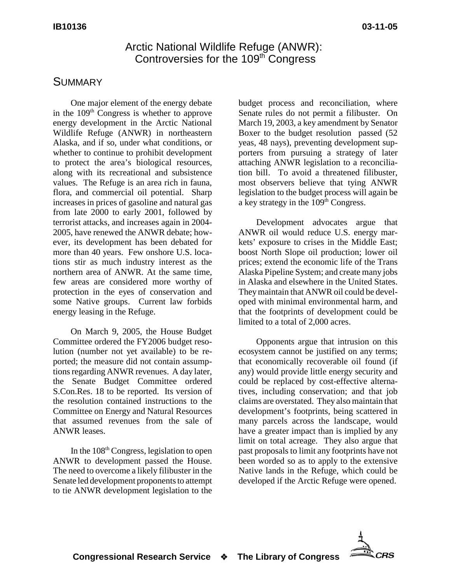# Arctic National Wildlife Refuge (ANWR): Controversies for the 109<sup>th</sup> Congress

# **SUMMARY**

One major element of the energy debate in the  $109<sup>th</sup>$  Congress is whether to approve energy development in the Arctic National Wildlife Refuge (ANWR) in northeastern Alaska, and if so, under what conditions, or whether to continue to prohibit development to protect the area's biological resources, along with its recreational and subsistence values. The Refuge is an area rich in fauna, flora, and commercial oil potential. Sharp increases in prices of gasoline and natural gas from late 2000 to early 2001, followed by terrorist attacks, and increases again in 2004- 2005, have renewed the ANWR debate; however, its development has been debated for more than 40 years. Few onshore U.S. locations stir as much industry interest as the northern area of ANWR. At the same time, few areas are considered more worthy of protection in the eyes of conservation and some Native groups. Current law forbids energy leasing in the Refuge.

On March 9, 2005, the House Budget Committee ordered the FY2006 budget resolution (number not yet available) to be reported; the measure did not contain assumptions regarding ANWR revenues. A day later, the Senate Budget Committee ordered S.Con.Res. 18 to be reported. Its version of the resolution contained instructions to the Committee on Energy and Natural Resources that assumed revenues from the sale of ANWR leases.

In the  $108<sup>th</sup> Congress$ , legislation to open ANWR to development passed the House. The need to overcome a likely filibuster in the Senate led development proponents to attempt to tie ANWR development legislation to the

budget process and reconciliation, where Senate rules do not permit a filibuster. On March 19, 2003, a key amendment by Senator Boxer to the budget resolution passed (52 yeas, 48 nays), preventing development supporters from pursuing a strategy of later attaching ANWR legislation to a reconciliation bill. To avoid a threatened filibuster, most observers believe that tying ANWR legislation to the budget process will again be a key strategy in the  $109<sup>th</sup> Congress.$ 

Development advocates argue that ANWR oil would reduce U.S. energy markets' exposure to crises in the Middle East; boost North Slope oil production; lower oil prices; extend the economic life of the Trans Alaska Pipeline System; and create many jobs in Alaska and elsewhere in the United States. They maintain that ANWR oil could be developed with minimal environmental harm, and that the footprints of development could be limited to a total of 2,000 acres.

Opponents argue that intrusion on this ecosystem cannot be justified on any terms; that economically recoverable oil found (if any) would provide little energy security and could be replaced by cost-effective alternatives, including conservation; and that job claims are overstated. They also maintain that development's footprints, being scattered in many parcels across the landscape, would have a greater impact than is implied by any limit on total acreage. They also argue that past proposals to limit any footprints have not been worded so as to apply to the extensive Native lands in the Refuge, which could be developed if the Arctic Refuge were opened.

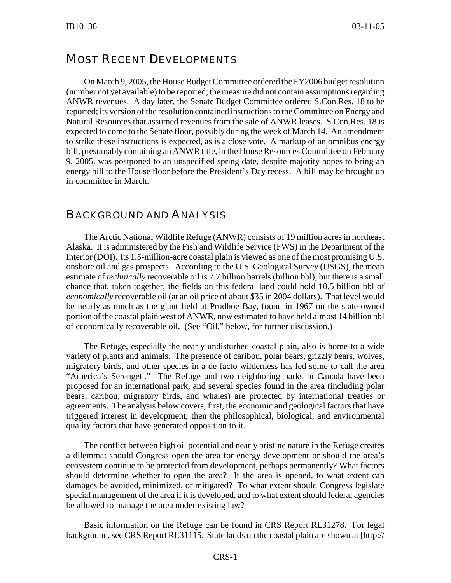# MOST RECENT DEVELOPMENTS

On March 9, 2005, the House Budget Committee ordered the FY2006 budget resolution (number not yet available) to be reported; the measure did not contain assumptions regarding ANWR revenues. A day later, the Senate Budget Committee ordered S.Con.Res. 18 to be reported; its version of the resolution contained instructions to the Committee on Energy and Natural Resources that assumed revenues from the sale of ANWR leases. S.Con.Res. 18 is expected to come to the Senate floor, possibly during the week of March 14. An amendment to strike these instructions is expected, as is a close vote. A markup of an omnibus energy bill, presumably containing an ANWR title, in the House Resources Committee on February 9, 2005, was postponed to an unspecified spring date, despite majority hopes to bring an energy bill to the House floor before the President's Day recess. A bill may be brought up in committee in March.

# BACKGROUND AND ANALYSIS

The Arctic National Wildlife Refuge (ANWR) consists of 19 million acres in northeast Alaska. It is administered by the Fish and Wildlife Service (FWS) in the Department of the Interior (DOI). Its 1.5-million-acre coastal plain is viewed as one of the most promising U.S. onshore oil and gas prospects. According to the U.S. Geological Survey (USGS), the mean estimate of *technically* recoverable oil is 7.7 billion barrels (billion bbl), but there is a small chance that, taken together, the fields on this federal land could hold 10.5 billion bbl of *economically* recoverable oil (at an oil price of about \$35 in 2004 dollars). That level would be nearly as much as the giant field at Prudhoe Bay, found in 1967 on the state-owned portion of the coastal plain west of ANWR, now estimated to have held almost 14 billion bbl of economically recoverable oil. (See "Oil," below, for further discussion.)

The Refuge, especially the nearly undisturbed coastal plain, also is home to a wide variety of plants and animals. The presence of caribou, polar bears, grizzly bears, wolves, migratory birds, and other species in a de facto wilderness has led some to call the area "America's Serengeti." The Refuge and two neighboring parks in Canada have been proposed for an international park, and several species found in the area (including polar bears, caribou, migratory birds, and whales) are protected by international treaties or agreements. The analysis below covers, first, the economic and geological factors that have triggered interest in development, then the philosophical, biological, and environmental quality factors that have generated opposition to it.

The conflict between high oil potential and nearly pristine nature in the Refuge creates a dilemma: should Congress open the area for energy development or should the area's ecosystem continue to be protected from development, perhaps permanently? What factors should determine whether to open the area? If the area is opened, to what extent can damages be avoided, minimized, or mitigated? To what extent should Congress legislate special management of the area if it is developed, and to what extent should federal agencies be allowed to manage the area under existing law?

Basic information on the Refuge can be found in CRS Report RL31278. For legal background, see CRS Report RL31115. State lands on the coastal plain are shown at [http://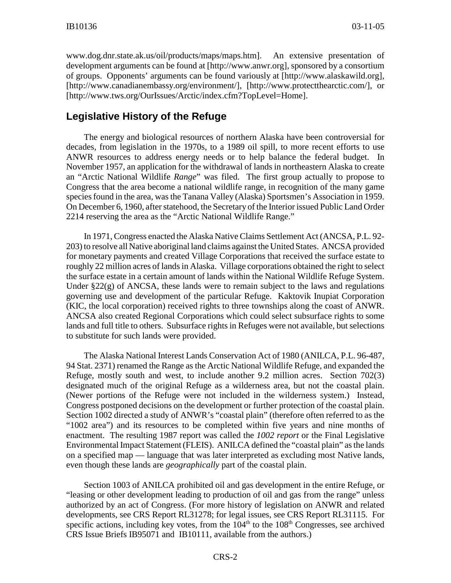www.dog.dnr.state.ak.us/oil/products/maps/maps.htm]. An extensive presentation of development arguments can be found at [http://www.anwr.org], sponsored by a consortium of groups. Opponents' arguments can be found variously at [http://www.alaskawild.org], [http://www.canadianembassy.org/environment/], [http://www.protectthearctic.com/], or [http://www.tws.org/OurIssues/Arctic/index.cfm?TopLevel=Home].

### **Legislative History of the Refuge**

The energy and biological resources of northern Alaska have been controversial for decades, from legislation in the 1970s, to a 1989 oil spill, to more recent efforts to use ANWR resources to address energy needs or to help balance the federal budget. In November 1957, an application for the withdrawal of lands in northeastern Alaska to create an "Arctic National Wildlife *Range*" was filed. The first group actually to propose to Congress that the area become a national wildlife range, in recognition of the many game species found in the area, was the Tanana Valley (Alaska) Sportsmen's Association in 1959. On December 6, 1960, after statehood, the Secretary of the Interior issued Public Land Order 2214 reserving the area as the "Arctic National Wildlife Range."

In 1971, Congress enacted the Alaska Native Claims Settlement Act (ANCSA, P.L. 92- 203) to resolve all Native aboriginal land claims against the United States. ANCSA provided for monetary payments and created Village Corporations that received the surface estate to roughly 22 million acres of lands in Alaska. Village corporations obtained the right to select the surface estate in a certain amount of lands within the National Wildlife Refuge System. Under  $\S 22(g)$  of ANCSA, these lands were to remain subject to the laws and regulations governing use and development of the particular Refuge. Kaktovik Inupiat Corporation (KIC, the local corporation) received rights to three townships along the coast of ANWR. ANCSA also created Regional Corporations which could select subsurface rights to some lands and full title to others. Subsurface rights in Refuges were not available, but selections to substitute for such lands were provided.

The Alaska National Interest Lands Conservation Act of 1980 (ANILCA, P.L. 96-487, 94 Stat. 2371) renamed the Range as the Arctic National Wildlife Refuge, and expanded the Refuge, mostly south and west, to include another 9.2 million acres. Section 702(3) designated much of the original Refuge as a wilderness area, but not the coastal plain. (Newer portions of the Refuge were not included in the wilderness system.) Instead, Congress postponed decisions on the development or further protection of the coastal plain. Section 1002 directed a study of ANWR's "coastal plain" (therefore often referred to as the "1002 area") and its resources to be completed within five years and nine months of enactment. The resulting 1987 report was called the *1002 report* or the Final Legislative Environmental Impact Statement (FLEIS). ANILCA defined the "coastal plain" as the lands on a specified map — language that was later interpreted as excluding most Native lands, even though these lands are *geographically* part of the coastal plain.

Section 1003 of ANILCA prohibited oil and gas development in the entire Refuge, or "leasing or other development leading to production of oil and gas from the range" unless authorized by an act of Congress. (For more history of legislation on ANWR and related developments, see CRS Report RL31278; for legal issues, see CRS Report RL31115. For specific actions, including key votes, from the  $104<sup>th</sup>$  to the  $108<sup>th</sup>$  Congresses, see archived CRS Issue Briefs IB95071 and IB10111, available from the authors.)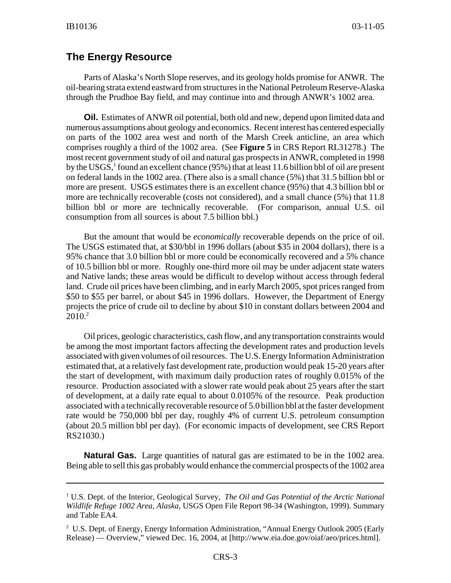# **The Energy Resource**

Parts of Alaska's North Slope reserves, and its geology holds promise for ANWR. The oil-bearing strata extend eastward from structures in the National Petroleum Reserve-Alaska through the Prudhoe Bay field, and may continue into and through ANWR's 1002 area.

**Oil.** Estimates of ANWR oil potential, both old and new, depend upon limited data and numerous assumptions about geology and economics. Recent interest has centered especially on parts of the 1002 area west and north of the Marsh Creek anticline, an area which comprises roughly a third of the 1002 area. (See **Figure 5** in CRS Report RL31278.) The most recent government study of oil and natural gas prospects in ANWR, completed in 1998 by the USGS,<sup>1</sup> found an excellent chance (95%) that at least 11.6 billion bbl of oil are present on federal lands in the 1002 area. (There also is a small chance (5%) that 31.5 billion bbl or more are present. USGS estimates there is an excellent chance (95%) that 4.3 billion bbl or more are technically recoverable (costs not considered), and a small chance (5%) that 11.8 billion bbl or more are technically recoverable. (For comparison, annual U.S. oil consumption from all sources is about 7.5 billion bbl.)

But the amount that would be *economically* recoverable depends on the price of oil. The USGS estimated that, at \$30/bbl in 1996 dollars (about \$35 in 2004 dollars), there is a 95% chance that 3.0 billion bbl or more could be economically recovered and a 5% chance of 10.5 billion bbl or more. Roughly one-third more oil may be under adjacent state waters and Native lands; these areas would be difficult to develop without access through federal land. Crude oil prices have been climbing, and in early March 2005, spot prices ranged from \$50 to \$55 per barrel, or about \$45 in 1996 dollars. However, the Department of Energy projects the price of crude oil to decline by about \$10 in constant dollars between 2004 and  $2010.<sup>2</sup>$ 

Oil prices, geologic characteristics, cash flow, and any transportation constraints would be among the most important factors affecting the development rates and production levels associated with given volumes of oil resources. The U.S. Energy Information Administration estimated that, at a relatively fast development rate, production would peak 15-20 years after the start of development, with maximum daily production rates of roughly 0.015% of the resource. Production associated with a slower rate would peak about 25 years after the start of development, at a daily rate equal to about 0.0105% of the resource. Peak production associated with a technically recoverable resource of 5.0 billion bbl at the faster development rate would be 750,000 bbl per day, roughly 4% of current U.S. petroleum consumption (about 20.5 million bbl per day). (For economic impacts of development, see CRS Report RS21030.)

**Natural Gas.** Large quantities of natural gas are estimated to be in the 1002 area. Being able to sell this gas probably would enhance the commercial prospects of the 1002 area

<sup>&</sup>lt;sup>1</sup> U.S. Dept. of the Interior, Geological Survey, *The Oil and Gas Potential of the Arctic National Wildlife Refuge 1002 Area, Alaska*, USGS Open File Report 98-34 (Washington, 1999). Summary and Table EA4.

<sup>&</sup>lt;sup>2</sup> U.S. Dept. of Energy, Energy Information Administration, "Annual Energy Outlook 2005 (Early Release) — Overview," viewed Dec. 16, 2004, at [http://www.eia.doe.gov/oiaf/aeo/prices.html].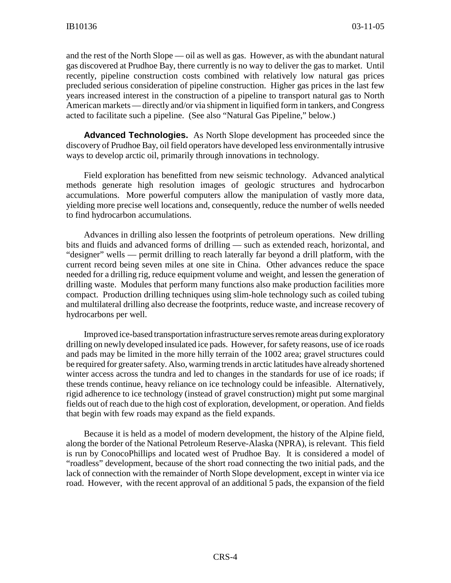and the rest of the North Slope — oil as well as gas. However, as with the abundant natural gas discovered at Prudhoe Bay, there currently is no way to deliver the gas to market. Until recently, pipeline construction costs combined with relatively low natural gas prices precluded serious consideration of pipeline construction. Higher gas prices in the last few years increased interest in the construction of a pipeline to transport natural gas to North American markets — directly and/or via shipment in liquified form in tankers, and Congress acted to facilitate such a pipeline. (See also "Natural Gas Pipeline," below.)

**Advanced Technologies.** As North Slope development has proceeded since the discovery of Prudhoe Bay, oil field operators have developed less environmentally intrusive ways to develop arctic oil, primarily through innovations in technology.

Field exploration has benefitted from new seismic technology. Advanced analytical methods generate high resolution images of geologic structures and hydrocarbon accumulations. More powerful computers allow the manipulation of vastly more data, yielding more precise well locations and, consequently, reduce the number of wells needed to find hydrocarbon accumulations.

Advances in drilling also lessen the footprints of petroleum operations. New drilling bits and fluids and advanced forms of drilling — such as extended reach, horizontal, and "designer" wells — permit drilling to reach laterally far beyond a drill platform, with the current record being seven miles at one site in China. Other advances reduce the space needed for a drilling rig, reduce equipment volume and weight, and lessen the generation of drilling waste. Modules that perform many functions also make production facilities more compact. Production drilling techniques using slim-hole technology such as coiled tubing and multilateral drilling also decrease the footprints, reduce waste, and increase recovery of hydrocarbons per well.

Improved ice-based transportation infrastructure serves remote areas during exploratory drilling on newly developed insulated ice pads. However, for safety reasons, use of ice roads and pads may be limited in the more hilly terrain of the 1002 area; gravel structures could be required for greater safety. Also, warming trends in arctic latitudes have already shortened winter access across the tundra and led to changes in the standards for use of ice roads; if these trends continue, heavy reliance on ice technology could be infeasible. Alternatively, rigid adherence to ice technology (instead of gravel construction) might put some marginal fields out of reach due to the high cost of exploration, development, or operation. And fields that begin with few roads may expand as the field expands.

Because it is held as a model of modern development, the history of the Alpine field, along the border of the National Petroleum Reserve-Alaska (NPRA), is relevant. This field is run by ConocoPhillips and located west of Prudhoe Bay. It is considered a model of "roadless" development, because of the short road connecting the two initial pads, and the lack of connection with the remainder of North Slope development, except in winter via ice road. However, with the recent approval of an additional 5 pads, the expansion of the field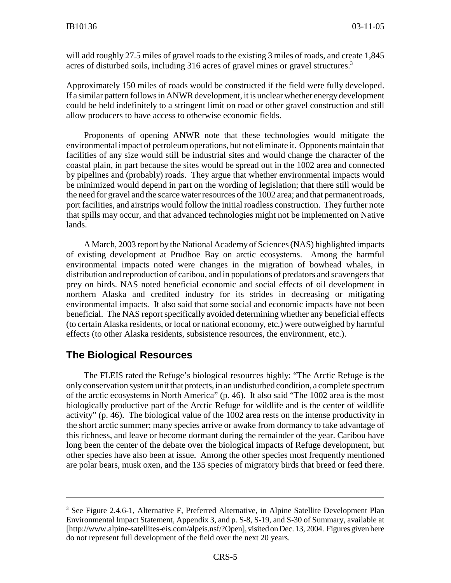will add roughly 27.5 miles of gravel roads to the existing 3 miles of roads, and create 1,845 acres of disturbed soils, including 316 acres of gravel mines or gravel structures.<sup>3</sup>

Approximately 150 miles of roads would be constructed if the field were fully developed. If a similar pattern follows in ANWR development, it is unclear whether energy development could be held indefinitely to a stringent limit on road or other gravel construction and still allow producers to have access to otherwise economic fields.

Proponents of opening ANWR note that these technologies would mitigate the environmental impact of petroleum operations, but not eliminate it. Opponents maintain that facilities of any size would still be industrial sites and would change the character of the coastal plain, in part because the sites would be spread out in the 1002 area and connected by pipelines and (probably) roads. They argue that whether environmental impacts would be minimized would depend in part on the wording of legislation; that there still would be the need for gravel and the scarce water resources of the 1002 area; and that permanent roads, port facilities, and airstrips would follow the initial roadless construction. They further note that spills may occur, and that advanced technologies might not be implemented on Native lands.

A March, 2003 report by the National Academy of Sciences (NAS) highlighted impacts of existing development at Prudhoe Bay on arctic ecosystems. Among the harmful environmental impacts noted were changes in the migration of bowhead whales, in distribution and reproduction of caribou, and in populations of predators and scavengers that prey on birds. NAS noted beneficial economic and social effects of oil development in northern Alaska and credited industry for its strides in decreasing or mitigating environmental impacts. It also said that some social and economic impacts have not been beneficial. The NAS report specifically avoided determining whether any beneficial effects (to certain Alaska residents, or local or national economy, etc.) were outweighed by harmful effects (to other Alaska residents, subsistence resources, the environment, etc.).

#### **The Biological Resources**

The FLEIS rated the Refuge's biological resources highly: "The Arctic Refuge is the only conservation system unit that protects, in an undisturbed condition, a complete spectrum of the arctic ecosystems in North America" (p. 46). It also said "The 1002 area is the most biologically productive part of the Arctic Refuge for wildlife and is the center of wildlife activity" (p. 46). The biological value of the 1002 area rests on the intense productivity in the short arctic summer; many species arrive or awake from dormancy to take advantage of this richness, and leave or become dormant during the remainder of the year. Caribou have long been the center of the debate over the biological impacts of Refuge development, but other species have also been at issue. Among the other species most frequently mentioned are polar bears, musk oxen, and the 135 species of migratory birds that breed or feed there.

<sup>&</sup>lt;sup>3</sup> See Figure 2.4.6-1, Alternative F, Preferred Alternative, in Alpine Satellite Development Plan Environmental Impact Statement, Appendix 3, and p. S-8, S-19, and S-30 of Summary, available at [http://www.alpine-satellites-eis.com/alpeis.nsf/?Open], visited on Dec. 13, 2004. Figures given here do not represent full development of the field over the next 20 years.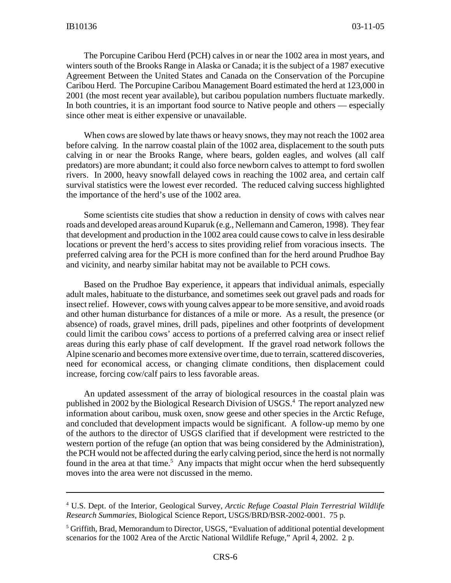The Porcupine Caribou Herd (PCH) calves in or near the 1002 area in most years, and winters south of the Brooks Range in Alaska or Canada; it is the subject of a 1987 executive Agreement Between the United States and Canada on the Conservation of the Porcupine Caribou Herd. The Porcupine Caribou Management Board estimated the herd at 123,000 in 2001 (the most recent year available), but caribou population numbers fluctuate markedly. In both countries, it is an important food source to Native people and others — especially since other meat is either expensive or unavailable.

When cows are slowed by late thaws or heavy snows, they may not reach the 1002 area before calving. In the narrow coastal plain of the 1002 area, displacement to the south puts calving in or near the Brooks Range, where bears, golden eagles, and wolves (all calf predators) are more abundant; it could also force newborn calves to attempt to ford swollen rivers. In 2000, heavy snowfall delayed cows in reaching the 1002 area, and certain calf survival statistics were the lowest ever recorded. The reduced calving success highlighted the importance of the herd's use of the 1002 area.

Some scientists cite studies that show a reduction in density of cows with calves near roads and developed areas around Kuparuk (e.g., Nellemann and Cameron, 1998). They fear that development and production in the 1002 area could cause cows to calve in less desirable locations or prevent the herd's access to sites providing relief from voracious insects. The preferred calving area for the PCH is more confined than for the herd around Prudhoe Bay and vicinity, and nearby similar habitat may not be available to PCH cows.

Based on the Prudhoe Bay experience, it appears that individual animals, especially adult males, habituate to the disturbance, and sometimes seek out gravel pads and roads for insect relief. However, cows with young calves appear to be more sensitive, and avoid roads and other human disturbance for distances of a mile or more. As a result, the presence (or absence) of roads, gravel mines, drill pads, pipelines and other footprints of development could limit the caribou cows' access to portions of a preferred calving area or insect relief areas during this early phase of calf development. If the gravel road network follows the Alpine scenario and becomes more extensive over time, due to terrain, scattered discoveries, need for economical access, or changing climate conditions, then displacement could increase, forcing cow/calf pairs to less favorable areas.

An updated assessment of the array of biological resources in the coastal plain was published in 2002 by the Biological Research Division of USGS.<sup>4</sup> The report analyzed new information about caribou, musk oxen, snow geese and other species in the Arctic Refuge, and concluded that development impacts would be significant. A follow-up memo by one of the authors to the director of USGS clarified that if development were restricted to the western portion of the refuge (an option that was being considered by the Administration), the PCH would not be affected during the early calving period, since the herd is not normally found in the area at that time.<sup>5</sup> Any impacts that might occur when the herd subsequently moves into the area were not discussed in the memo.

<sup>4</sup> U.S. Dept. of the Interior, Geological Survey, *Arctic Refuge Coastal Plain Terrestrial Wildlife Research Summaries*, Biological Science Report, USGS/BRD/BSR-2002-0001. 75 p.

<sup>&</sup>lt;sup>5</sup> Griffith, Brad, Memorandum to Director, USGS, "Evaluation of additional potential development scenarios for the 1002 Area of the Arctic National Wildlife Refuge," April 4, 2002. 2 p.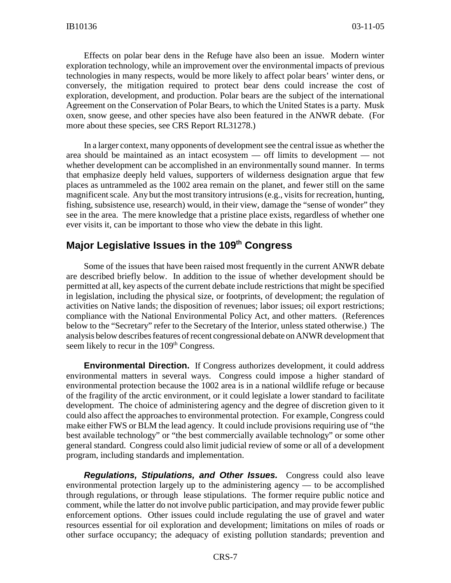Effects on polar bear dens in the Refuge have also been an issue. Modern winter exploration technology, while an improvement over the environmental impacts of previous technologies in many respects, would be more likely to affect polar bears' winter dens, or conversely, the mitigation required to protect bear dens could increase the cost of exploration, development, and production. Polar bears are the subject of the international Agreement on the Conservation of Polar Bears, to which the United States is a party. Musk oxen, snow geese, and other species have also been featured in the ANWR debate. (For more about these species, see CRS Report RL31278.)

In a larger context, many opponents of development see the central issue as whether the area should be maintained as an intact ecosystem — off limits to development — not whether development can be accomplished in an environmentally sound manner. In terms that emphasize deeply held values, supporters of wilderness designation argue that few places as untrammeled as the 1002 area remain on the planet, and fewer still on the same magnificent scale. Any but the most transitory intrusions (e.g., visits for recreation, hunting, fishing, subsistence use, research) would, in their view, damage the "sense of wonder" they see in the area. The mere knowledge that a pristine place exists, regardless of whether one ever visits it, can be important to those who view the debate in this light.

# **Major Legislative Issues in the 109th Congress**

Some of the issues that have been raised most frequently in the current ANWR debate are described briefly below. In addition to the issue of whether development should be permitted at all, key aspects of the current debate include restrictions that might be specified in legislation, including the physical size, or footprints, of development; the regulation of activities on Native lands; the disposition of revenues; labor issues; oil export restrictions; compliance with the National Environmental Policy Act, and other matters. (References below to the "Secretary" refer to the Secretary of the Interior, unless stated otherwise.) The analysis below describes features of recent congressional debate on ANWR development that seem likely to recur in the 109<sup>th</sup> Congress.

**Environmental Direction.** If Congress authorizes development, it could address environmental matters in several ways. Congress could impose a higher standard of environmental protection because the 1002 area is in a national wildlife refuge or because of the fragility of the arctic environment, or it could legislate a lower standard to facilitate development. The choice of administering agency and the degree of discretion given to it could also affect the approaches to environmental protection. For example, Congress could make either FWS or BLM the lead agency. It could include provisions requiring use of "the best available technology" or "the best commercially available technology" or some other general standard. Congress could also limit judicial review of some or all of a development program, including standards and implementation.

*Regulations, Stipulations, and Other Issues.* Congress could also leave environmental protection largely up to the administering agency — to be accomplished through regulations, or through lease stipulations. The former require public notice and comment, while the latter do not involve public participation, and may provide fewer public enforcement options. Other issues could include regulating the use of gravel and water resources essential for oil exploration and development; limitations on miles of roads or other surface occupancy; the adequacy of existing pollution standards; prevention and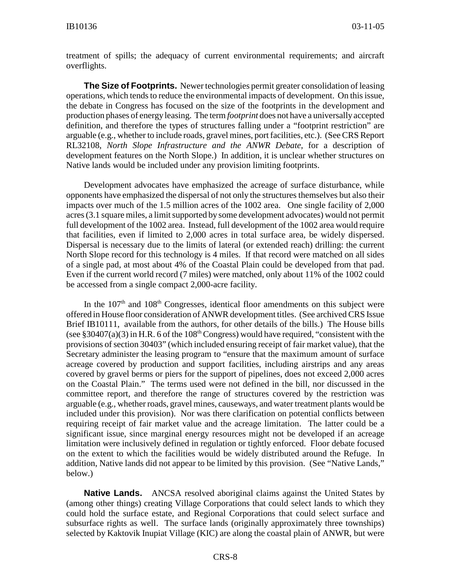treatment of spills; the adequacy of current environmental requirements; and aircraft overflights.

**The Size of Footprints.** Newer technologies permit greater consolidation of leasing operations, which tends to reduce the environmental impacts of development. On this issue, the debate in Congress has focused on the size of the footprints in the development and production phases of energy leasing. The term *footprint* does not have a universally accepted definition, and therefore the types of structures falling under a "footprint restriction" are arguable (e.g., whether to include roads, gravel mines, port facilities, etc.). (See CRS Report RL32108, *North Slope Infrastructure and the ANWR Debate*, for a description of development features on the North Slope.) In addition, it is unclear whether structures on Native lands would be included under any provision limiting footprints.

Development advocates have emphasized the acreage of surface disturbance, while opponents have emphasized the dispersal of not only the structures themselves but also their impacts over much of the 1.5 million acres of the 1002 area. One single facility of 2,000 acres (3.1 square miles, a limit supported by some development advocates) would not permit full development of the 1002 area. Instead, full development of the 1002 area would require that facilities, even if limited to 2,000 acres in total surface area, be widely dispersed. Dispersal is necessary due to the limits of lateral (or extended reach) drilling: the current North Slope record for this technology is 4 miles. If that record were matched on all sides of a single pad, at most about 4% of the Coastal Plain could be developed from that pad. Even if the current world record (7 miles) were matched, only about 11% of the 1002 could be accessed from a single compact 2,000-acre facility.

In the  $107<sup>th</sup>$  and  $108<sup>th</sup>$  Congresses, identical floor amendments on this subject were offered in House floor consideration of ANWR development titles. (See archived CRS Issue Brief IB10111, available from the authors, for other details of the bills.) The House bills (see  $\S 30407(a)(3)$  in H.R. 6 of the 108<sup>th</sup> Congress) would have required, "consistent with the provisions of section 30403" (which included ensuring receipt of fair market value), that the Secretary administer the leasing program to "ensure that the maximum amount of surface acreage covered by production and support facilities, including airstrips and any areas covered by gravel berms or piers for the support of pipelines, does not exceed 2,000 acres on the Coastal Plain." The terms used were not defined in the bill, nor discussed in the committee report, and therefore the range of structures covered by the restriction was arguable (e.g., whether roads, gravel mines, causeways, and water treatment plants would be included under this provision). Nor was there clarification on potential conflicts between requiring receipt of fair market value and the acreage limitation. The latter could be a significant issue, since marginal energy resources might not be developed if an acreage limitation were inclusively defined in regulation or tightly enforced. Floor debate focused on the extent to which the facilities would be widely distributed around the Refuge. In addition, Native lands did not appear to be limited by this provision. (See "Native Lands," below.)

**Native Lands.** ANCSA resolved aboriginal claims against the United States by (among other things) creating Village Corporations that could select lands to which they could hold the surface estate, and Regional Corporations that could select surface and subsurface rights as well. The surface lands (originally approximately three townships) selected by Kaktovik Inupiat Village (KIC) are along the coastal plain of ANWR, but were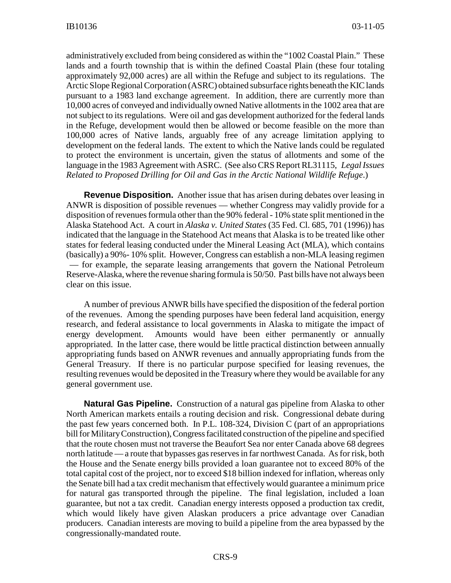administratively excluded from being considered as within the "1002 Coastal Plain." These lands and a fourth township that is within the defined Coastal Plain (these four totaling approximately 92,000 acres) are all within the Refuge and subject to its regulations. The Arctic Slope Regional Corporation (ASRC) obtained subsurface rights beneath the KIC lands pursuant to a 1983 land exchange agreement. In addition, there are currently more than 10,000 acres of conveyed and individually owned Native allotments in the 1002 area that are not subject to its regulations. Were oil and gas development authorized for the federal lands in the Refuge, development would then be allowed or become feasible on the more than 100,000 acres of Native lands, arguably free of any acreage limitation applying to development on the federal lands. The extent to which the Native lands could be regulated to protect the environment is uncertain, given the status of allotments and some of the language in the 1983 Agreement with ASRC. (See also CRS Report RL31115, *Legal Issues Related to Proposed Drilling for Oil and Gas in the Arctic National Wildlife Refuge*.)

**Revenue Disposition.** Another issue that has arisen during debates over leasing in ANWR is disposition of possible revenues — whether Congress may validly provide for a disposition of revenues formula other than the 90% federal - 10% state split mentioned in the Alaska Statehood Act. A court in *Alaska v. United States* (35 Fed. Cl. 685, 701 (1996)) has indicated that the language in the Statehood Act means that Alaska is to be treated like other states for federal leasing conducted under the Mineral Leasing Act (MLA), which contains (basically) a 90%- 10% split. However, Congress can establish a non-MLA leasing regimen — for example, the separate leasing arrangements that govern the National Petroleum Reserve-Alaska, where the revenue sharing formula is 50/50. Past bills have not always been clear on this issue.

A number of previous ANWR bills have specified the disposition of the federal portion of the revenues. Among the spending purposes have been federal land acquisition, energy research, and federal assistance to local governments in Alaska to mitigate the impact of energy development. Amounts would have been either permanently or annually appropriated. In the latter case, there would be little practical distinction between annually appropriating funds based on ANWR revenues and annually appropriating funds from the General Treasury. If there is no particular purpose specified for leasing revenues, the resulting revenues would be deposited in the Treasury where they would be available for any general government use.

**Natural Gas Pipeline.** Construction of a natural gas pipeline from Alaska to other North American markets entails a routing decision and risk. Congressional debate during the past few years concerned both. In P.L. 108-324, Division C (part of an appropriations bill for Military Construction), Congress facilitated construction of the pipeline and specified that the route chosen must not traverse the Beaufort Sea nor enter Canada above 68 degrees north latitude — a route that bypasses gas reserves in far northwest Canada. As for risk, both the House and the Senate energy bills provided a loan guarantee not to exceed 80% of the total capital cost of the project, nor to exceed \$18 billion indexed for inflation, whereas only the Senate bill had a tax credit mechanism that effectively would guarantee a minimum price for natural gas transported through the pipeline. The final legislation, included a loan guarantee, but not a tax credit. Canadian energy interests opposed a production tax credit, which would likely have given Alaskan producers a price advantage over Canadian producers. Canadian interests are moving to build a pipeline from the area bypassed by the congressionally-mandated route.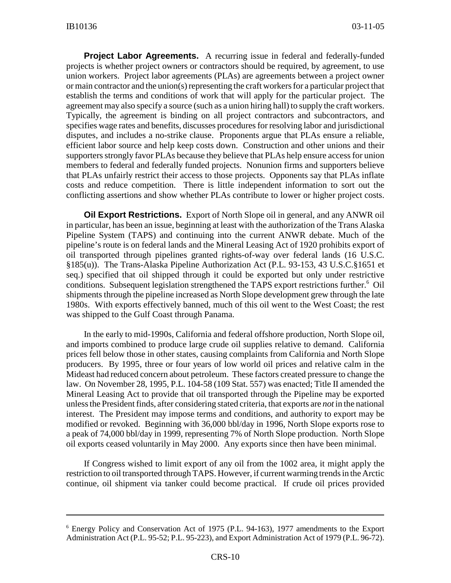**Project Labor Agreements.** A recurring issue in federal and federally-funded projects is whether project owners or contractors should be required, by agreement, to use union workers. Project labor agreements (PLAs) are agreements between a project owner or main contractor and the union(s) representing the craft workers for a particular project that establish the terms and conditions of work that will apply for the particular project. The agreement may also specify a source (such as a union hiring hall) to supply the craft workers. Typically, the agreement is binding on all project contractors and subcontractors, and specifies wage rates and benefits, discusses procedures for resolving labor and jurisdictional disputes, and includes a no-strike clause. Proponents argue that PLAs ensure a reliable, efficient labor source and help keep costs down. Construction and other unions and their supporters strongly favor PLAs because they believe that PLAs help ensure access for union members to federal and federally funded projects. Nonunion firms and supporters believe that PLAs unfairly restrict their access to those projects. Opponents say that PLAs inflate costs and reduce competition. There is little independent information to sort out the conflicting assertions and show whether PLAs contribute to lower or higher project costs.

**Oil Export Restrictions.** Export of North Slope oil in general, and any ANWR oil in particular, has been an issue, beginning at least with the authorization of the Trans Alaska Pipeline System (TAPS) and continuing into the current ANWR debate. Much of the pipeline's route is on federal lands and the Mineral Leasing Act of 1920 prohibits export of oil transported through pipelines granted rights-of-way over federal lands (16 U.S.C. §185(u)). The Trans-Alaska Pipeline Authorization Act (P.L. 93-153, 43 U.S.C.§1651 et seq.) specified that oil shipped through it could be exported but only under restrictive conditions. Subsequent legislation strengthened the TAPS export restrictions further.<sup>6</sup> Oil shipments through the pipeline increased as North Slope development grew through the late 1980s. With exports effectively banned, much of this oil went to the West Coast; the rest was shipped to the Gulf Coast through Panama.

In the early to mid-1990s, California and federal offshore production, North Slope oil, and imports combined to produce large crude oil supplies relative to demand. California prices fell below those in other states, causing complaints from California and North Slope producers. By 1995, three or four years of low world oil prices and relative calm in the Mideast had reduced concern about petroleum. These factors created pressure to change the law. On November 28, 1995, P.L. 104-58 (109 Stat. 557) was enacted; Title II amended the Mineral Leasing Act to provide that oil transported through the Pipeline may be exported unless the President finds, after considering stated criteria, that exports are *not* in the national interest. The President may impose terms and conditions, and authority to export may be modified or revoked. Beginning with 36,000 bbl/day in 1996, North Slope exports rose to a peak of 74,000 bbl/day in 1999, representing 7% of North Slope production. North Slope oil exports ceased voluntarily in May 2000. Any exports since then have been minimal.

If Congress wished to limit export of any oil from the 1002 area, it might apply the restriction to oil transported through TAPS. However, if current warming trends in the Arctic continue, oil shipment via tanker could become practical. If crude oil prices provided

<sup>6</sup> Energy Policy and Conservation Act of 1975 (P.L. 94-163), 1977 amendments to the Export Administration Act (P.L. 95-52; P.L. 95-223), and Export Administration Act of 1979 (P.L. 96-72).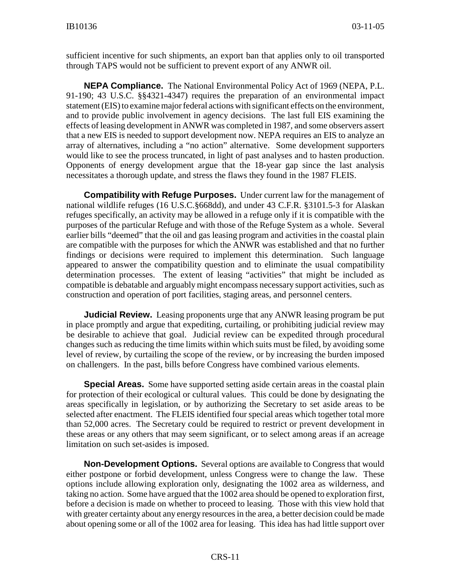sufficient incentive for such shipments, an export ban that applies only to oil transported through TAPS would not be sufficient to prevent export of any ANWR oil.

**NEPA Compliance.** The National Environmental Policy Act of 1969 (NEPA, P.L. 91-190; 43 U.S.C. §§4321-4347) requires the preparation of an environmental impact statement (EIS) to examine major federal actions with significant effects on the environment, and to provide public involvement in agency decisions. The last full EIS examining the effects of leasing development in ANWR was completed in 1987, and some observers assert that a new EIS is needed to support development now. NEPA requires an EIS to analyze an array of alternatives, including a "no action" alternative. Some development supporters would like to see the process truncated, in light of past analyses and to hasten production. Opponents of energy development argue that the 18-year gap since the last analysis necessitates a thorough update, and stress the flaws they found in the 1987 FLEIS.

**Compatibility with Refuge Purposes.** Under current law for the management of national wildlife refuges (16 U.S.C.§668dd), and under 43 C.F.R. §3101.5-3 for Alaskan refuges specifically, an activity may be allowed in a refuge only if it is compatible with the purposes of the particular Refuge and with those of the Refuge System as a whole. Several earlier bills "deemed" that the oil and gas leasing program and activities in the coastal plain are compatible with the purposes for which the ANWR was established and that no further findings or decisions were required to implement this determination. Such language appeared to answer the compatibility question and to eliminate the usual compatibility determination processes. The extent of leasing "activities" that might be included as compatible is debatable and arguably might encompass necessary support activities, such as construction and operation of port facilities, staging areas, and personnel centers.

**Judicial Review.** Leasing proponents urge that any ANWR leasing program be put in place promptly and argue that expediting, curtailing, or prohibiting judicial review may be desirable to achieve that goal. Judicial review can be expedited through procedural changes such as reducing the time limits within which suits must be filed, by avoiding some level of review, by curtailing the scope of the review, or by increasing the burden imposed on challengers. In the past, bills before Congress have combined various elements.

**Special Areas.** Some have supported setting aside certain areas in the coastal plain for protection of their ecological or cultural values. This could be done by designating the areas specifically in legislation, or by authorizing the Secretary to set aside areas to be selected after enactment. The FLEIS identified four special areas which together total more than 52,000 acres. The Secretary could be required to restrict or prevent development in these areas or any others that may seem significant, or to select among areas if an acreage limitation on such set-asides is imposed.

**Non-Development Options.** Several options are available to Congress that would either postpone or forbid development, unless Congress were to change the law. These options include allowing exploration only, designating the 1002 area as wilderness, and taking no action. Some have argued that the 1002 area should be opened to exploration first, before a decision is made on whether to proceed to leasing. Those with this view hold that with greater certainty about any energy resources in the area, a better decision could be made about opening some or all of the 1002 area for leasing. This idea has had little support over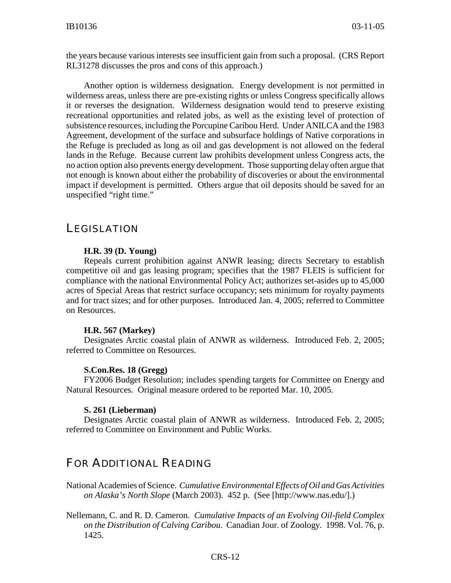the years because various interests see insufficient gain from such a proposal. (CRS Report RL31278 discusses the pros and cons of this approach.)

Another option is wilderness designation. Energy development is not permitted in wilderness areas, unless there are pre-existing rights or unless Congress specifically allows it or reverses the designation. Wilderness designation would tend to preserve existing recreational opportunities and related jobs, as well as the existing level of protection of subsistence resources, including the Porcupine Caribou Herd. Under ANILCA and the 1983 Agreement, development of the surface and subsurface holdings of Native corporations in the Refuge is precluded as long as oil and gas development is not allowed on the federal lands in the Refuge. Because current law prohibits development unless Congress acts, the no action option also prevents energy development. Those supporting delay often argue that not enough is known about either the probability of discoveries or about the environmental impact if development is permitted. Others argue that oil deposits should be saved for an unspecified "right time."

# LEGISLATION

#### **H.R. 39 (D. Young)**

Repeals current prohibition against ANWR leasing; directs Secretary to establish competitive oil and gas leasing program; specifies that the 1987 FLEIS is sufficient for compliance with the national Environmental Policy Act; authorizes set-asides up to 45,000 acres of Special Areas that restrict surface occupancy; sets minimum for royalty payments and for tract sizes; and for other purposes. Introduced Jan. 4, 2005; referred to Committee on Resources.

#### **H.R. 567 (Markey)**

Designates Arctic coastal plain of ANWR as wilderness. Introduced Feb. 2, 2005; referred to Committee on Resources.

#### **S.Con.Res. 18 (Gregg)**

FY2006 Budget Resolution; includes spending targets for Committee on Energy and Natural Resources. Original measure ordered to be reported Mar. 10, 2005.

#### **S. 261 (Lieberman)**

Designates Arctic coastal plain of ANWR as wilderness. Introduced Feb. 2, 2005; referred to Committee on Environment and Public Works.

# FOR ADDITIONAL READING

National Academies of Science. *Cumulative Environmental Effects of Oil and Gas Activities on Alaska's North Slope* (March 2003). 452 p. (See [http://www.nas.edu/].)

Nellemann, C. and R. D. Cameron. *Cumulative Impacts of an Evolving Oil-field Complex on the Distribution of Calving Caribou.* Canadian Jour. of Zoology. 1998. Vol. 76, p. 1425.